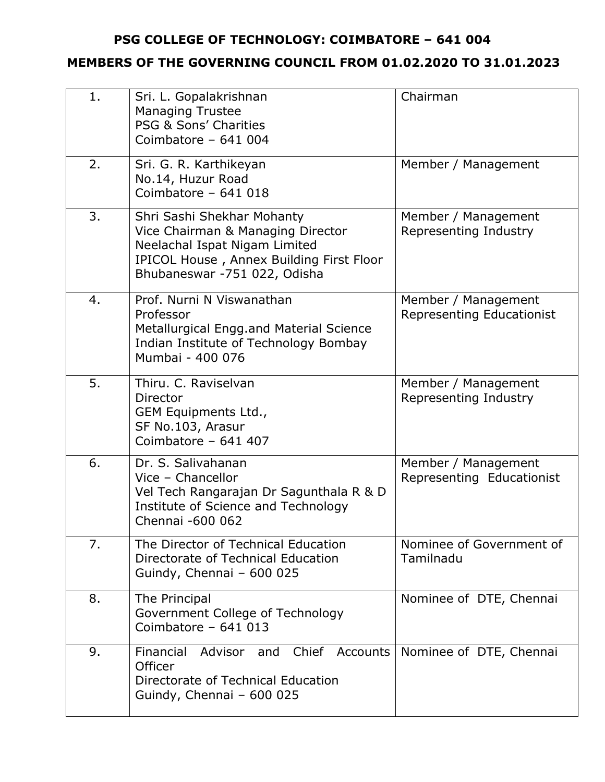## **PSG COLLEGE OF TECHNOLOGY: COIMBATORE – 641 004**

## **MEMBERS OF THE GOVERNING COUNCIL FROM 01.02.2020 TO 31.01.2023**

| 1. | Sri. L. Gopalakrishnan<br><b>Managing Trustee</b><br>PSG & Sons' Charities<br>Coimbatore - $641004$                                                                          | Chairman                                                |
|----|------------------------------------------------------------------------------------------------------------------------------------------------------------------------------|---------------------------------------------------------|
| 2. | Sri. G. R. Karthikeyan<br>No.14, Huzur Road<br>Coimbatore - 641 018                                                                                                          | Member / Management                                     |
| 3. | Shri Sashi Shekhar Mohanty<br>Vice Chairman & Managing Director<br>Neelachal Ispat Nigam Limited<br>IPICOL House, Annex Building First Floor<br>Bhubaneswar -751 022, Odisha | Member / Management<br>Representing Industry            |
| 4. | Prof. Nurni N Viswanathan<br>Professor<br>Metallurgical Engg.and Material Science<br>Indian Institute of Technology Bombay<br>Mumbai - 400 076                               | Member / Management<br><b>Representing Educationist</b> |
| 5. | Thiru, C. Raviselvan<br>Director<br>GEM Equipments Ltd.,<br>SF No.103, Arasur<br>Coimbatore - 641 407                                                                        | Member / Management<br>Representing Industry            |
| 6. | Dr. S. Salivahanan<br>Vice - Chancellor<br>Vel Tech Rangarajan Dr Sagunthala R & D<br>Institute of Science and Technology<br>Chennai -600 062                                | Member / Management<br>Representing Educationist        |
| 7. | The Director of Technical Education<br>Directorate of Technical Education<br>Guindy, Chennai - 600 025                                                                       | Nominee of Government of<br>Tamilnadu                   |
| 8. | The Principal<br>Government College of Technology<br>Coimbatore - $641$ 013                                                                                                  | Nominee of DTE, Chennai                                 |
| 9. | Financial Advisor and Chief Accounts<br>Officer<br>Directorate of Technical Education<br>Guindy, Chennai - 600 025                                                           | Nominee of DTE, Chennai                                 |